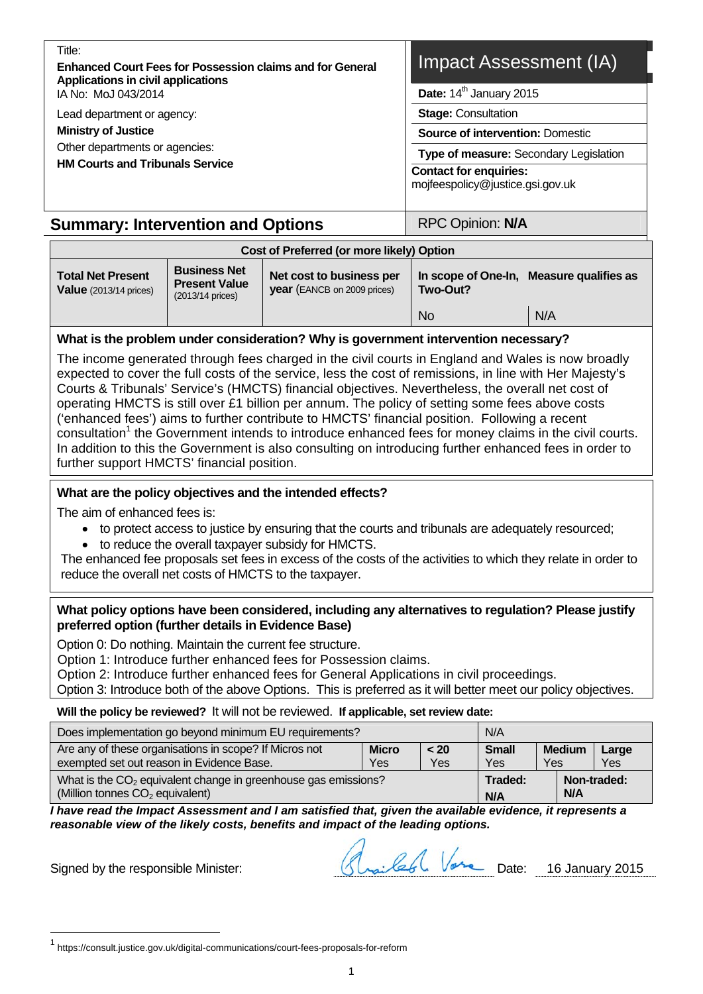| - FILIC.                                                         |  |
|------------------------------------------------------------------|--|
| <b>Enhanced Court Fees for Possession claims and for General</b> |  |
| Applications in civil applications                               |  |
| IA No: MoJ 043/2014                                              |  |

Lead department or agency:

**Ministry of Justice** 

 $T<sub>if</sub>$ 

Other departments or agencies: **HM Courts and Tribunals Service** 

# Impact Assessment (IA)

**Date:**  $14^{\text{th}}$  January 2015

**Stage:** Consultation

**Source of intervention:** Domestic

**Type of measure:** Secondary Legislation

**Contact for enquiries:**

mojfeespolicy@justice.gsi.gov.uk

# **Summary: Intervention and Options | RPC Opinion: N/A**

| <b>Total Net Present</b><br>Value $(2013/14 \text{ prices})$ | <b>Business Net</b><br><b>Present Value</b><br>$(2013/14 \text{ prices})$ | Net cost to business per<br><b>year</b> (EANCB on 2009 prices) | In scope of One-In,<br>Two-Out? | Measure qualifies as |
|--------------------------------------------------------------|---------------------------------------------------------------------------|----------------------------------------------------------------|---------------------------------|----------------------|
|                                                              |                                                                           |                                                                |                                 |                      |
|                                                              |                                                                           |                                                                | <b>No</b>                       | N/A                  |

### **What is the problem under consideration? Why is government intervention necessary?**

The income generated through fees charged in the civil courts in England and Wales is now broadly expected to cover the full costs of the service, less the cost of remissions, in line with Her Majesty's Courts & Tribunals' Service's (HMCTS) financial objectives. Nevertheless, the overall net cost of operating HMCTS is still over £1 billion per annum. The policy of setting some fees above costs ('enhanced fees') aims to further contribute to HMCTS' financial position. Following a recent consultation<sup>1</sup> the Government intends to introduce enhanced fees for money claims in the civil courts. In addition to this the Government is also consulting on introducing further enhanced fees in order to further support HMCTS' financial position.

### **What are the policy objectives and the intended effects?**

The aim of enhanced fees is:

- to protect access to justice by ensuring that the courts and tribunals are adequately resourced;
- to reduce the overall taxpayer subsidy for HMCTS.

The enhanced fee proposals set fees in excess of the costs of the activities to which they relate in order to reduce the overall net costs of HMCTS to the taxpayer.

#### **What policy options have been considered, including any alternatives to regulation? Please justify preferred option (further details in Evidence Base)**

Option 0: Do nothing. Maintain the current fee structure.

Option 1: Introduce further enhanced fees for Possession claims.

Option 2: Introduce further enhanced fees for General Applications in civil proceedings.

Option 3: Introduce both of the above Options. This is preferred as it will better meet our policy objectives.

**Will the policy be reviewed?** It will not be reviewed. **If applicable, set review date:** 

| N/A<br>Does implementation go beyond minimum EU requirements?                                                   |             |                     |                      |              |             |  |  |  |  |  |
|-----------------------------------------------------------------------------------------------------------------|-------------|---------------------|----------------------|--------------|-------------|--|--|--|--|--|
| Are any of these organisations in scope? If Micros not<br>exempted set out reason in Evidence Base.             | < 20<br>Yes | <b>Small</b><br>Yes | <b>Medium</b><br>Yes | Large<br>Yes |             |  |  |  |  |  |
| What is the $CO2$ equivalent change in greenhouse gas emissions?<br>(Million tonnes CO <sub>2</sub> equivalent) |             |                     | Traded:<br>N/A       | N/A          | Non-traded: |  |  |  |  |  |

*I have read the Impact Assessment and I am satisfied that, given the available evidence, it represents a reasonable view of the likely costs, benefits and impact of the leading options.* 

l

Signed by the responsible Minister: Slaville (Slaville 6) Vare Date: 16 January 2015

<sup>1</sup> https://consult.justice.gov.uk/digital-communications/court-fees-proposals-for-reform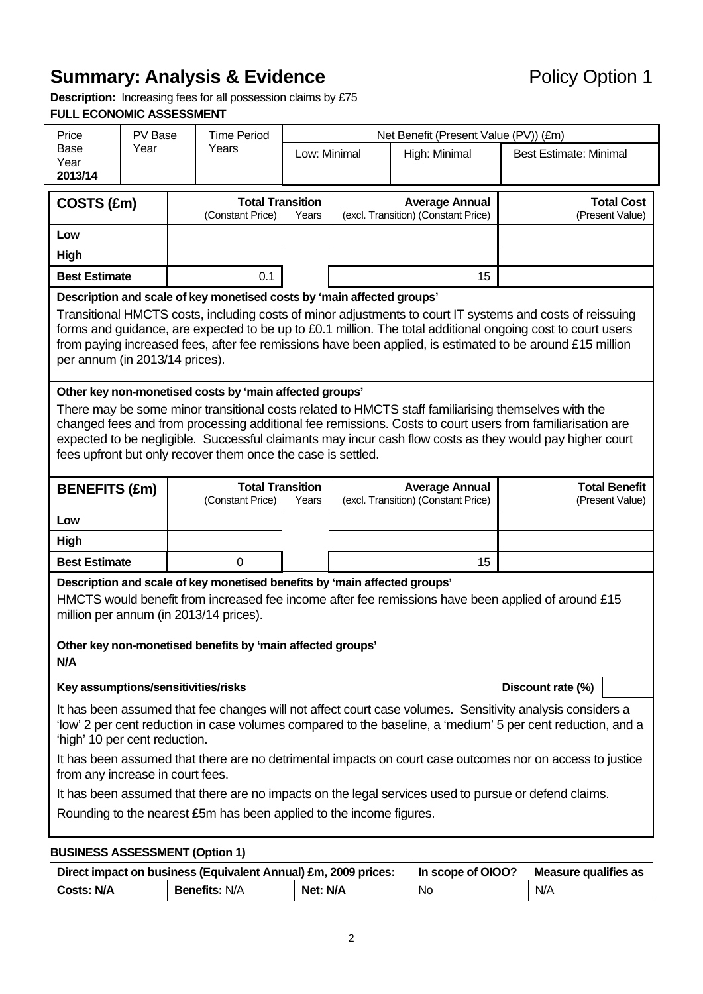# **Summary: Analysis & Evidence Policy Option 1**

**Description:** Increasing fees for all possession claims by £75 **FULL ECONOMIC ASSESSMENT** 

| Price                                  | PV Base | <b>Time Period</b>                                                                                                                      |              |  | Net Benefit (Present Value (PV)) (£m)                        |                                                                                                                                                                                                                                                                                                                                       |
|----------------------------------------|---------|-----------------------------------------------------------------------------------------------------------------------------------------|--------------|--|--------------------------------------------------------------|---------------------------------------------------------------------------------------------------------------------------------------------------------------------------------------------------------------------------------------------------------------------------------------------------------------------------------------|
| Base<br>Year                           | Year    | Years                                                                                                                                   | Low: Minimal |  | High: Minimal                                                | <b>Best Estimate: Minimal</b>                                                                                                                                                                                                                                                                                                         |
| 2013/14                                |         |                                                                                                                                         |              |  |                                                              |                                                                                                                                                                                                                                                                                                                                       |
| COSTS (£m)                             |         | <b>Total Transition</b><br>(Constant Price)                                                                                             | Years        |  | <b>Average Annual</b><br>(excl. Transition) (Constant Price) | <b>Total Cost</b><br>(Present Value)                                                                                                                                                                                                                                                                                                  |
| Low                                    |         |                                                                                                                                         |              |  |                                                              |                                                                                                                                                                                                                                                                                                                                       |
| High                                   |         |                                                                                                                                         |              |  |                                                              |                                                                                                                                                                                                                                                                                                                                       |
| <b>Best Estimate</b>                   |         | 0.1                                                                                                                                     |              |  | 15                                                           |                                                                                                                                                                                                                                                                                                                                       |
|                                        |         | Description and scale of key monetised costs by 'main affected groups'                                                                  |              |  |                                                              |                                                                                                                                                                                                                                                                                                                                       |
| per annum (in 2013/14 prices).         |         |                                                                                                                                         |              |  |                                                              | Transitional HMCTS costs, including costs of minor adjustments to court IT systems and costs of reissuing<br>forms and guidance, are expected to be up to £0.1 million. The total additional ongoing cost to court users<br>from paying increased fees, after fee remissions have been applied, is estimated to be around £15 million |
|                                        |         | Other key non-monetised costs by 'main affected groups'                                                                                 |              |  |                                                              | There may be some minor transitional costs related to HMCTS staff familiarising themselves with the<br>changed fees and from processing additional fee remissions. Costs to court users from familiarisation are<br>expected to be negligible. Successful claimants may incur cash flow costs as they would pay higher court          |
|                                        |         | fees upfront but only recover them once the case is settled.                                                                            |              |  |                                                              |                                                                                                                                                                                                                                                                                                                                       |
| <b>BENEFITS (£m)</b>                   |         | <b>Total Transition</b><br>(Constant Price)                                                                                             | Years        |  | <b>Average Annual</b><br>(excl. Transition) (Constant Price) | <b>Total Benefit</b><br>(Present Value)                                                                                                                                                                                                                                                                                               |
| Low                                    |         |                                                                                                                                         |              |  |                                                              |                                                                                                                                                                                                                                                                                                                                       |
| High                                   |         |                                                                                                                                         |              |  |                                                              |                                                                                                                                                                                                                                                                                                                                       |
| <b>Best Estimate</b>                   |         | 0                                                                                                                                       |              |  | 15                                                           |                                                                                                                                                                                                                                                                                                                                       |
| million per annum (in 2013/14 prices). |         | Description and scale of key monetised benefits by 'main affected groups'<br>Other key non-monetised benefits by 'main affected groups' |              |  |                                                              | HMCTS would benefit from increased fee income after fee remissions have been applied of around £15                                                                                                                                                                                                                                    |
| N/A                                    |         |                                                                                                                                         |              |  |                                                              |                                                                                                                                                                                                                                                                                                                                       |
| Key assumptions/sensitivities/risks    |         |                                                                                                                                         |              |  |                                                              | Discount rate (%)                                                                                                                                                                                                                                                                                                                     |
| 'high' 10 per cent reduction.          |         |                                                                                                                                         |              |  |                                                              | It has been assumed that fee changes will not affect court case volumes. Sensitivity analysis considers a<br>'low' 2 per cent reduction in case volumes compared to the baseline, a 'medium' 5 per cent reduction, and a                                                                                                              |
| from any increase in court fees.       |         |                                                                                                                                         |              |  |                                                              | It has been assumed that there are no detrimental impacts on court case outcomes nor on access to justice                                                                                                                                                                                                                             |
|                                        |         |                                                                                                                                         |              |  |                                                              | It has been assumed that there are no impacts on the legal services used to pursue or defend claims.                                                                                                                                                                                                                                  |
|                                        |         | Rounding to the nearest £5m has been applied to the income figures.                                                                     |              |  |                                                              |                                                                                                                                                                                                                                                                                                                                       |
| <b>BUSINESS ASSESSMENT (Option 1)</b>  |         |                                                                                                                                         |              |  |                                                              |                                                                                                                                                                                                                                                                                                                                       |

|                   | Direct impact on business (Equivalent Annual) £m, 2009 prices: | In scope of OIOO? | Measure qualifies as |     |
|-------------------|----------------------------------------------------------------|-------------------|----------------------|-----|
| <b>Costs: N/A</b> | <b>Benefits: N/A</b>                                           | Net: N/A          | No                   | N/A |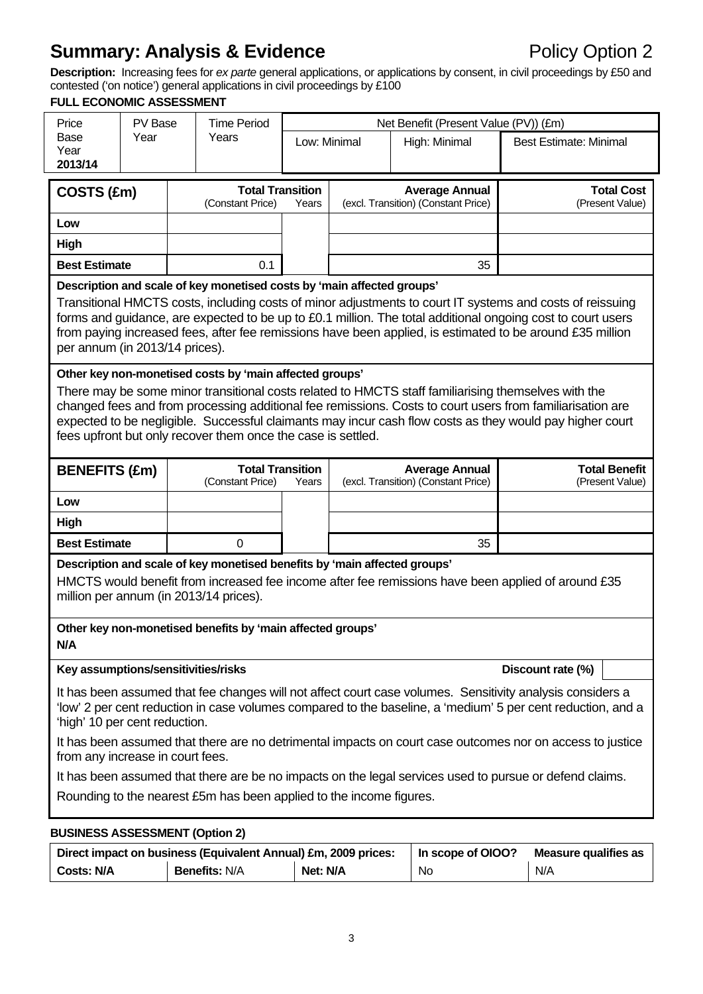# **Summary: Analysis & Evidence Policy Option 2**

**Description:** Increasing fees for *ex parte* general applications, or applications by consent, in civil proceedings by £50 and contested ('on notice') general applications in civil proceedings by £100

#### **FULL ECONOMIC ASSESSMENT**

|                                                                                                                                                                                                                                                                                                                                                                                                            | <b>FULL ECONOMIC ASSESSMENT</b>                                                                                                                                                                                                                                                                                                                                                                                                                         |  |                                                                                                                                                                                   |       |  |                                                              |                                                                                                         |  |  |  |  |  |
|------------------------------------------------------------------------------------------------------------------------------------------------------------------------------------------------------------------------------------------------------------------------------------------------------------------------------------------------------------------------------------------------------------|---------------------------------------------------------------------------------------------------------------------------------------------------------------------------------------------------------------------------------------------------------------------------------------------------------------------------------------------------------------------------------------------------------------------------------------------------------|--|-----------------------------------------------------------------------------------------------------------------------------------------------------------------------------------|-------|--|--------------------------------------------------------------|---------------------------------------------------------------------------------------------------------|--|--|--|--|--|
| Price                                                                                                                                                                                                                                                                                                                                                                                                      | PV Base                                                                                                                                                                                                                                                                                                                                                                                                                                                 |  | <b>Time Period</b>                                                                                                                                                                |       |  | Net Benefit (Present Value (PV)) (£m)                        |                                                                                                         |  |  |  |  |  |
| Base<br>Year<br>2013/14                                                                                                                                                                                                                                                                                                                                                                                    | Year                                                                                                                                                                                                                                                                                                                                                                                                                                                    |  | Years<br>Low: Minimal<br>High: Minimal                                                                                                                                            |       |  | <b>Best Estimate: Minimal</b>                                |                                                                                                         |  |  |  |  |  |
|                                                                                                                                                                                                                                                                                                                                                                                                            |                                                                                                                                                                                                                                                                                                                                                                                                                                                         |  |                                                                                                                                                                                   |       |  |                                                              |                                                                                                         |  |  |  |  |  |
| COSTS (£m)                                                                                                                                                                                                                                                                                                                                                                                                 |                                                                                                                                                                                                                                                                                                                                                                                                                                                         |  | <b>Total Transition</b><br>(Constant Price)                                                                                                                                       | Years |  | <b>Average Annual</b><br>(excl. Transition) (Constant Price) | <b>Total Cost</b><br>(Present Value)                                                                    |  |  |  |  |  |
| Low                                                                                                                                                                                                                                                                                                                                                                                                        |                                                                                                                                                                                                                                                                                                                                                                                                                                                         |  |                                                                                                                                                                                   |       |  |                                                              |                                                                                                         |  |  |  |  |  |
| High                                                                                                                                                                                                                                                                                                                                                                                                       |                                                                                                                                                                                                                                                                                                                                                                                                                                                         |  |                                                                                                                                                                                   |       |  |                                                              |                                                                                                         |  |  |  |  |  |
| <b>Best Estimate</b>                                                                                                                                                                                                                                                                                                                                                                                       |                                                                                                                                                                                                                                                                                                                                                                                                                                                         |  | 0.1                                                                                                                                                                               |       |  | 35                                                           |                                                                                                         |  |  |  |  |  |
|                                                                                                                                                                                                                                                                                                                                                                                                            | Description and scale of key monetised costs by 'main affected groups'<br>Transitional HMCTS costs, including costs of minor adjustments to court IT systems and costs of reissuing<br>forms and guidance, are expected to be up to £0.1 million. The total additional ongoing cost to court users<br>from paying increased fees, after fee remissions have been applied, is estimated to be around £35 million<br>per annum (in 2013/14 prices).       |  |                                                                                                                                                                                   |       |  |                                                              |                                                                                                         |  |  |  |  |  |
|                                                                                                                                                                                                                                                                                                                                                                                                            | Other key non-monetised costs by 'main affected groups'<br>There may be some minor transitional costs related to HMCTS staff familiarising themselves with the<br>changed fees and from processing additional fee remissions. Costs to court users from familiarisation are<br>expected to be negligible. Successful claimants may incur cash flow costs as they would pay higher court<br>fees upfront but only recover them once the case is settled. |  |                                                                                                                                                                                   |       |  |                                                              |                                                                                                         |  |  |  |  |  |
| <b>BENEFITS (£m)</b>                                                                                                                                                                                                                                                                                                                                                                                       |                                                                                                                                                                                                                                                                                                                                                                                                                                                         |  | <b>Total Transition</b><br>(Constant Price)                                                                                                                                       | Years |  | <b>Average Annual</b><br>(excl. Transition) (Constant Price) | <b>Total Benefit</b><br>(Present Value)                                                                 |  |  |  |  |  |
| Low                                                                                                                                                                                                                                                                                                                                                                                                        |                                                                                                                                                                                                                                                                                                                                                                                                                                                         |  |                                                                                                                                                                                   |       |  |                                                              |                                                                                                         |  |  |  |  |  |
| High                                                                                                                                                                                                                                                                                                                                                                                                       |                                                                                                                                                                                                                                                                                                                                                                                                                                                         |  |                                                                                                                                                                                   |       |  |                                                              |                                                                                                         |  |  |  |  |  |
| <b>Best Estimate</b>                                                                                                                                                                                                                                                                                                                                                                                       |                                                                                                                                                                                                                                                                                                                                                                                                                                                         |  | $\Omega$                                                                                                                                                                          |       |  | 35                                                           |                                                                                                         |  |  |  |  |  |
| N/A                                                                                                                                                                                                                                                                                                                                                                                                        |                                                                                                                                                                                                                                                                                                                                                                                                                                                         |  | Description and scale of key monetised benefits by 'main affected groups'<br>million per annum (in 2013/14 prices).<br>Other key non-monetised benefits by 'main affected groups' |       |  |                                                              | HMCTS would benefit from increased fee income after fee remissions have been applied of around £35      |  |  |  |  |  |
| Key assumptions/sensitivities/risks                                                                                                                                                                                                                                                                                                                                                                        |                                                                                                                                                                                                                                                                                                                                                                                                                                                         |  |                                                                                                                                                                                   |       |  |                                                              | Discount rate (%)                                                                                       |  |  |  |  |  |
| It has been assumed that fee changes will not affect court case volumes. Sensitivity analysis considers a<br>'low' 2 per cent reduction in case volumes compared to the baseline, a 'medium' 5 per cent reduction, and a<br>'high' 10 per cent reduction.<br>It has been assumed that there are no detrimental impacts on court case outcomes nor on access to justice<br>from any increase in court fees. |                                                                                                                                                                                                                                                                                                                                                                                                                                                         |  |                                                                                                                                                                                   |       |  |                                                              |                                                                                                         |  |  |  |  |  |
|                                                                                                                                                                                                                                                                                                                                                                                                            |                                                                                                                                                                                                                                                                                                                                                                                                                                                         |  |                                                                                                                                                                                   |       |  |                                                              | It has been assumed that there are be no impacts on the legal services used to pursue or defend claims. |  |  |  |  |  |
|                                                                                                                                                                                                                                                                                                                                                                                                            |                                                                                                                                                                                                                                                                                                                                                                                                                                                         |  | Rounding to the nearest £5m has been applied to the income figures.                                                                                                               |       |  |                                                              |                                                                                                         |  |  |  |  |  |
| <b>BUSINESS ASSESSMENT (Option 2)</b>                                                                                                                                                                                                                                                                                                                                                                      |                                                                                                                                                                                                                                                                                                                                                                                                                                                         |  |                                                                                                                                                                                   |       |  |                                                              |                                                                                                         |  |  |  |  |  |
|                                                                                                                                                                                                                                                                                                                                                                                                            |                                                                                                                                                                                                                                                                                                                                                                                                                                                         |  |                                                                                                                                                                                   |       |  |                                                              |                                                                                                         |  |  |  |  |  |

|                   | Direct impact on business (Equivalent Annual) £m, 2009 prices: | In scope of OIOO? | Measure qualifies as |     |
|-------------------|----------------------------------------------------------------|-------------------|----------------------|-----|
| <b>Costs: N/A</b> | <b>Benefits: N/A</b>                                           | Net: N/A          | No                   | N/A |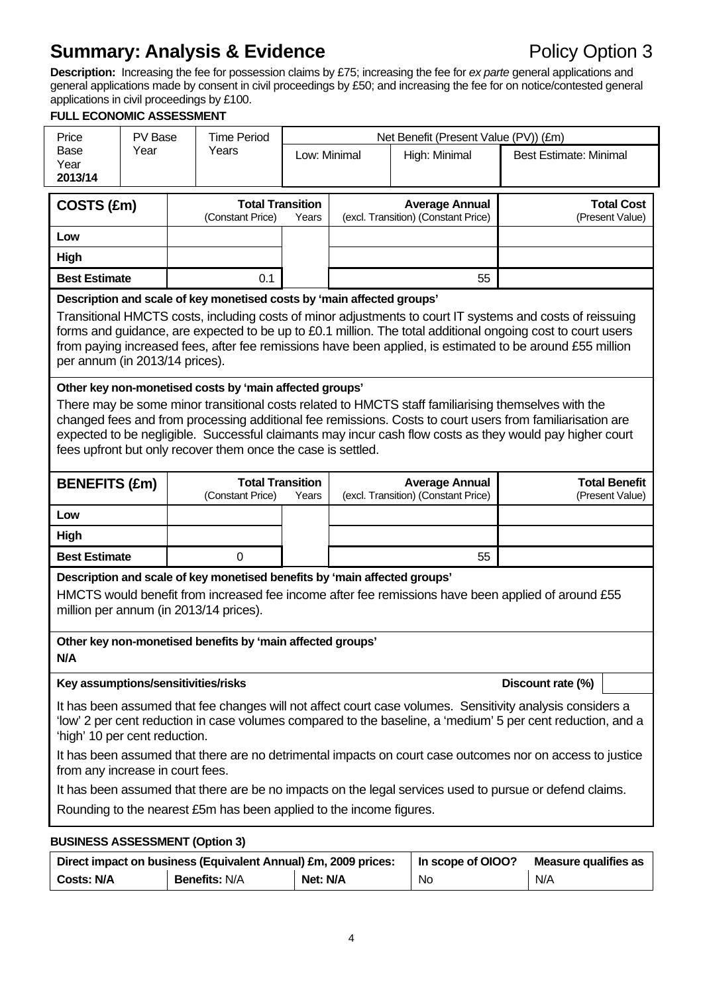# **Summary: Analysis & Evidence Policy Option 3**

**Description:** Increasing the fee for possession claims by £75; increasing the fee for *ex parte* general applications and general applications made by consent in civil proceedings by £50; and increasing the fee for on notice/contested general applications in civil proceedings by £100.

# **FULL ECONOMIC ASSESSMENT**

| Price                                                               | PV Base                                                                                                                                                                                                                                                                                                                                                                                                                                                 |  | <b>Time Period</b>                                                     |       |                               | Net Benefit (Present Value (PV)) (£m)                        |                                                                                                                                                                                                                                                                                                                                       |  |  |  |
|---------------------------------------------------------------------|---------------------------------------------------------------------------------------------------------------------------------------------------------------------------------------------------------------------------------------------------------------------------------------------------------------------------------------------------------------------------------------------------------------------------------------------------------|--|------------------------------------------------------------------------|-------|-------------------------------|--------------------------------------------------------------|---------------------------------------------------------------------------------------------------------------------------------------------------------------------------------------------------------------------------------------------------------------------------------------------------------------------------------------|--|--|--|
| Base<br>Year                                                        | Year                                                                                                                                                                                                                                                                                                                                                                                                                                                    |  | Years                                                                  |       | Low: Minimal<br>High: Minimal |                                                              | <b>Best Estimate: Minimal</b>                                                                                                                                                                                                                                                                                                         |  |  |  |
| 2013/14                                                             |                                                                                                                                                                                                                                                                                                                                                                                                                                                         |  |                                                                        |       |                               |                                                              |                                                                                                                                                                                                                                                                                                                                       |  |  |  |
| COSTS (£m)                                                          |                                                                                                                                                                                                                                                                                                                                                                                                                                                         |  | <b>Total Transition</b>                                                |       |                               | <b>Average Annual</b>                                        | <b>Total Cost</b>                                                                                                                                                                                                                                                                                                                     |  |  |  |
|                                                                     |                                                                                                                                                                                                                                                                                                                                                                                                                                                         |  | (Constant Price)                                                       | Years |                               | (excl. Transition) (Constant Price)                          | (Present Value)                                                                                                                                                                                                                                                                                                                       |  |  |  |
| Low                                                                 |                                                                                                                                                                                                                                                                                                                                                                                                                                                         |  |                                                                        |       |                               |                                                              |                                                                                                                                                                                                                                                                                                                                       |  |  |  |
| <b>High</b>                                                         |                                                                                                                                                                                                                                                                                                                                                                                                                                                         |  |                                                                        |       |                               |                                                              |                                                                                                                                                                                                                                                                                                                                       |  |  |  |
| <b>Best Estimate</b>                                                |                                                                                                                                                                                                                                                                                                                                                                                                                                                         |  | 0.1                                                                    |       |                               | 55                                                           |                                                                                                                                                                                                                                                                                                                                       |  |  |  |
| per annum (in 2013/14 prices).                                      |                                                                                                                                                                                                                                                                                                                                                                                                                                                         |  | Description and scale of key monetised costs by 'main affected groups' |       |                               |                                                              | Transitional HMCTS costs, including costs of minor adjustments to court IT systems and costs of reissuing<br>forms and guidance, are expected to be up to £0.1 million. The total additional ongoing cost to court users<br>from paying increased fees, after fee remissions have been applied, is estimated to be around £55 million |  |  |  |
|                                                                     | Other key non-monetised costs by 'main affected groups'<br>There may be some minor transitional costs related to HMCTS staff familiarising themselves with the<br>changed fees and from processing additional fee remissions. Costs to court users from familiarisation are<br>expected to be negligible. Successful claimants may incur cash flow costs as they would pay higher court<br>fees upfront but only recover them once the case is settled. |  |                                                                        |       |                               |                                                              |                                                                                                                                                                                                                                                                                                                                       |  |  |  |
| <b>BENEFITS (£m)</b>                                                |                                                                                                                                                                                                                                                                                                                                                                                                                                                         |  | <b>Total Transition</b><br>(Constant Price)                            | Years |                               | <b>Average Annual</b><br>(excl. Transition) (Constant Price) | <b>Total Benefit</b><br>(Present Value)                                                                                                                                                                                                                                                                                               |  |  |  |
| Low                                                                 |                                                                                                                                                                                                                                                                                                                                                                                                                                                         |  |                                                                        |       |                               |                                                              |                                                                                                                                                                                                                                                                                                                                       |  |  |  |
| <b>High</b>                                                         |                                                                                                                                                                                                                                                                                                                                                                                                                                                         |  |                                                                        |       |                               |                                                              |                                                                                                                                                                                                                                                                                                                                       |  |  |  |
| <b>Best Estimate</b>                                                |                                                                                                                                                                                                                                                                                                                                                                                                                                                         |  | 0                                                                      |       |                               | 55                                                           |                                                                                                                                                                                                                                                                                                                                       |  |  |  |
| N/A                                                                 | Description and scale of key monetised benefits by 'main affected groups'<br>HMCTS would benefit from increased fee income after fee remissions have been applied of around £55<br>million per annum (in 2013/14 prices).<br>Other key non-monetised benefits by 'main affected groups'                                                                                                                                                                 |  |                                                                        |       |                               |                                                              |                                                                                                                                                                                                                                                                                                                                       |  |  |  |
| Key assumptions/sensitivities/risks                                 |                                                                                                                                                                                                                                                                                                                                                                                                                                                         |  |                                                                        |       |                               |                                                              | Discount rate (%)                                                                                                                                                                                                                                                                                                                     |  |  |  |
|                                                                     | It has been assumed that fee changes will not affect court case volumes. Sensitivity analysis considers a<br>'low' 2 per cent reduction in case volumes compared to the baseline, a 'medium' 5 per cent reduction, and a<br>'high' 10 per cent reduction.                                                                                                                                                                                               |  |                                                                        |       |                               |                                                              |                                                                                                                                                                                                                                                                                                                                       |  |  |  |
| from any increase in court fees.                                    |                                                                                                                                                                                                                                                                                                                                                                                                                                                         |  |                                                                        |       |                               |                                                              | It has been assumed that there are no detrimental impacts on court case outcomes nor on access to justice                                                                                                                                                                                                                             |  |  |  |
|                                                                     |                                                                                                                                                                                                                                                                                                                                                                                                                                                         |  |                                                                        |       |                               |                                                              | It has been assumed that there are be no impacts on the legal services used to pursue or defend claims.                                                                                                                                                                                                                               |  |  |  |
| Rounding to the nearest £5m has been applied to the income figures. |                                                                                                                                                                                                                                                                                                                                                                                                                                                         |  |                                                                        |       |                               |                                                              |                                                                                                                                                                                                                                                                                                                                       |  |  |  |

#### **BUSINESS ASSESSMENT (Option 3)**

|                   | Direct impact on business (Equivalent Annual) £m, 2009 prices: | In scope of OIOO? | <b>Measure qualifies as</b> |     |
|-------------------|----------------------------------------------------------------|-------------------|-----------------------------|-----|
| <b>Costs: N/A</b> | <b>Benefits: N/A</b>                                           | Net: N/A          | No                          | N/A |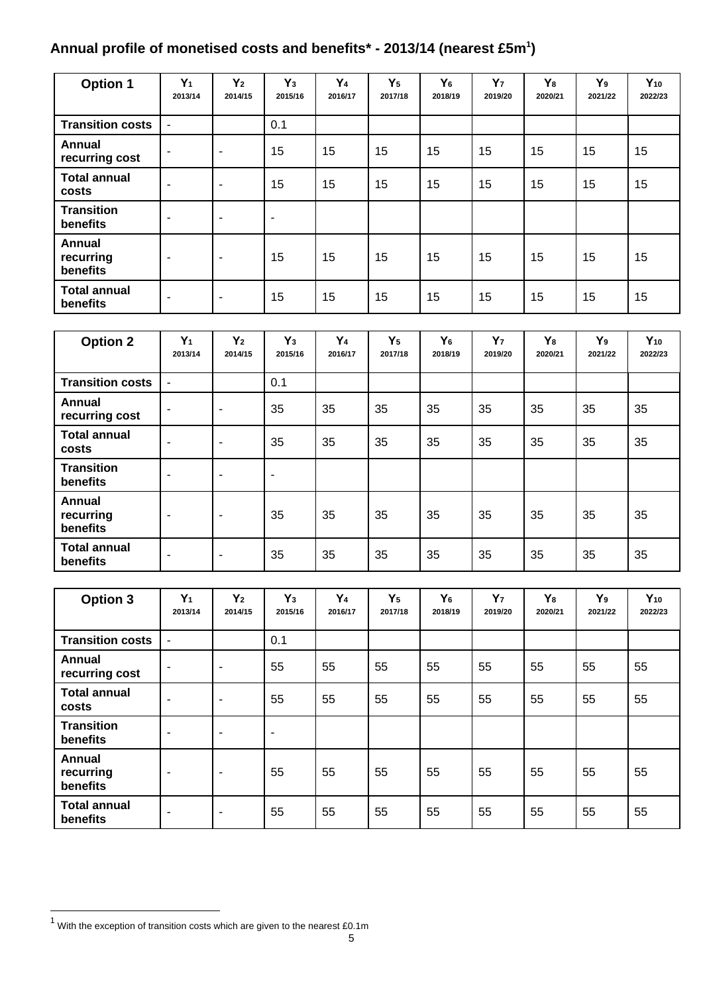### Annual profile of monetised costs and benefits\* - 2013/14 (nearest £5m<sup>1</sup>)

| <b>Option 1</b>                 | $Y_1$<br>2013/14         | Y <sub>2</sub><br>2014/15 | $Y_3$<br>2015/16 | Y <sub>4</sub><br>2016/17 | $Y_5$<br>2017/18 | Y <sub>6</sub><br>2018/19 | Y <sub>7</sub><br>2019/20 | Y <sub>8</sub><br>2020/21 | Y <sub>9</sub><br>2021/22 | $Y_{10}$<br>2022/23 |
|---------------------------------|--------------------------|---------------------------|------------------|---------------------------|------------------|---------------------------|---------------------------|---------------------------|---------------------------|---------------------|
| <b>Transition costs</b>         | ۰                        |                           | 0.1              |                           |                  |                           |                           |                           |                           |                     |
| Annual<br>recurring cost        | $\overline{\phantom{0}}$ | $\overline{\phantom{a}}$  | 15               | 15                        | 15               | 15                        | 15                        | 15                        | 15                        | 15                  |
| <b>Total annual</b><br>costs    | ٠                        | $\overline{\phantom{a}}$  | 15               | 15                        | 15               | 15                        | 15                        | 15                        | 15                        | 15                  |
| <b>Transition</b><br>benefits   | ٠                        | $\overline{\phantom{a}}$  | ٠                |                           |                  |                           |                           |                           |                           |                     |
| Annual<br>recurring<br>benefits | $\sim$                   | $\overline{\phantom{a}}$  | 15               | 15                        | 15               | 15                        | 15                        | 15                        | 15                        | 15                  |
| <b>Total annual</b><br>benefits | ۰                        | $\overline{\phantom{a}}$  | 15               | 15                        | 15               | 15                        | 15                        | 15                        | 15                        | 15                  |

| <b>Option 2</b>                 | $Y_1$<br>2013/14         | Y <sub>2</sub><br>2014/15 | $Y_3$<br>2015/16 | Y <sub>4</sub><br>2016/17 | $Y_5$<br>2017/18 | Y <sub>6</sub><br>2018/19 | Y <sub>7</sub><br>2019/20 | Y <sub>8</sub><br>2020/21 | Y <sub>9</sub><br>2021/22 | $Y_{10}$<br>2022/23 |
|---------------------------------|--------------------------|---------------------------|------------------|---------------------------|------------------|---------------------------|---------------------------|---------------------------|---------------------------|---------------------|
| <b>Transition costs</b>         |                          |                           | 0.1              |                           |                  |                           |                           |                           |                           |                     |
| <b>Annual</b><br>recurring cost | $\overline{\phantom{0}}$ | $\overline{\phantom{a}}$  | 35               | 35                        | 35               | 35                        | 35                        | 35                        | 35                        | 35                  |
| <b>Total annual</b><br>costs    | $\overline{\phantom{0}}$ | $\blacksquare$            | 35               | 35                        | 35               | 35                        | 35                        | 35                        | 35                        | 35                  |
| <b>Transition</b><br>benefits   | $\overline{\phantom{a}}$ | $\overline{\phantom{a}}$  | ۰                |                           |                  |                           |                           |                           |                           |                     |
| Annual<br>recurring<br>benefits | $\sim$                   | $\blacksquare$            | 35               | 35                        | 35               | 35                        | 35                        | 35                        | 35                        | 35                  |
| <b>Total annual</b><br>benefits | $\overline{\phantom{a}}$ | $\blacksquare$            | 35               | 35                        | 35               | 35                        | 35                        | 35                        | 35                        | 35                  |

| <b>Option 3</b>                 | $Y_1$<br>2013/14         | $Y_2$<br>2014/15         | $Y_3$<br>2015/16 | Y <sub>4</sub><br>2016/17 | $Y_5$<br>2017/18 | Y <sub>6</sub><br>2018/19 | Y <sub>7</sub><br>2019/20 | Y <sub>8</sub><br>2020/21 | Y <sub>9</sub><br>2021/22 | $Y_{10}$<br>2022/23 |
|---------------------------------|--------------------------|--------------------------|------------------|---------------------------|------------------|---------------------------|---------------------------|---------------------------|---------------------------|---------------------|
| <b>Transition costs</b>         |                          |                          | 0.1              |                           |                  |                           |                           |                           |                           |                     |
| Annual<br>recurring cost        | ٠                        | $\blacksquare$           | 55               | 55                        | 55               | 55                        | 55                        | 55                        | 55                        | 55                  |
| <b>Total annual</b><br>costs    | $\overline{\phantom{0}}$ | $\blacksquare$           | 55               | 55                        | 55               | 55                        | 55                        | 55                        | 55                        | 55                  |
| <b>Transition</b><br>benefits   | ٠                        | $\blacksquare$           | -                |                           |                  |                           |                           |                           |                           |                     |
| Annual<br>recurring<br>benefits | $\overline{\phantom{a}}$ | $\overline{\phantom{a}}$ | 55               | 55                        | 55               | 55                        | 55                        | 55                        | 55                        | 55                  |
| <b>Total annual</b><br>benefits | ٠                        | $\overline{\phantom{a}}$ | 55               | 55                        | 55               | 55                        | 55                        | 55                        | 55                        | 55                  |

 1 With the exception of transition costs which are given to the nearest £0.1m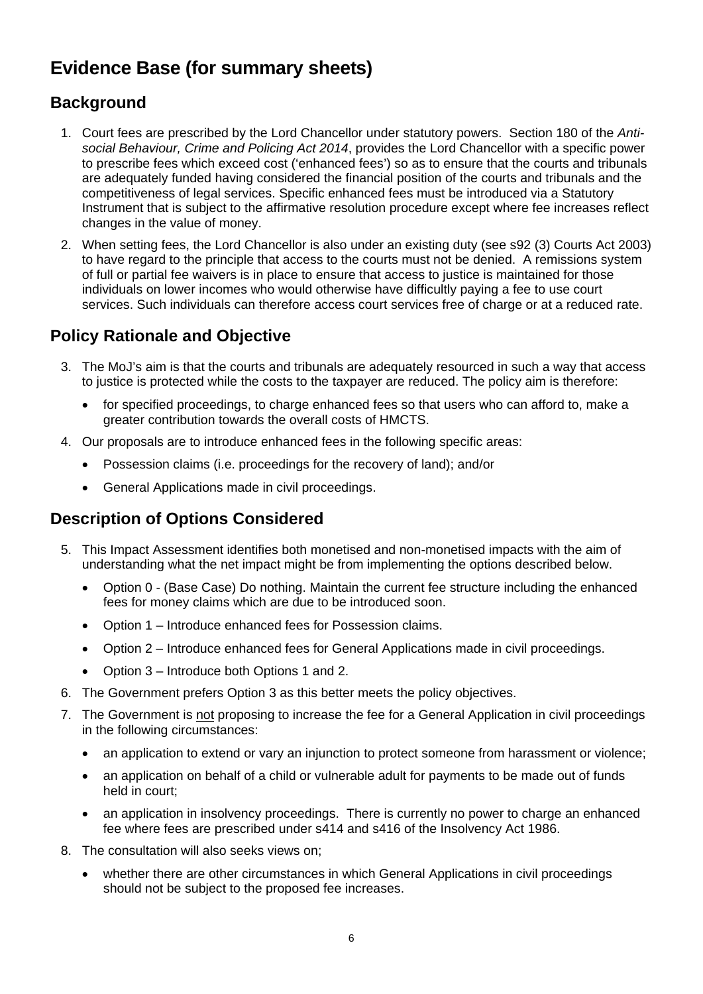# **Evidence Base (for summary sheets)**

# **Background**

- 1. Court fees are prescribed by the Lord Chancellor under statutory powers. Section 180 of the *Antisocial Behaviour, Crime and Policing Act 2014*, provides the Lord Chancellor with a specific power to prescribe fees which exceed cost ('enhanced fees') so as to ensure that the courts and tribunals are adequately funded having considered the financial position of the courts and tribunals and the competitiveness of legal services. Specific enhanced fees must be introduced via a Statutory Instrument that is subject to the affirmative resolution procedure except where fee increases reflect changes in the value of money.
- 2. When setting fees, the Lord Chancellor is also under an existing duty (see s92 (3) Courts Act 2003) to have regard to the principle that access to the courts must not be denied. A remissions system of full or partial fee waivers is in place to ensure that access to justice is maintained for those individuals on lower incomes who would otherwise have difficultly paying a fee to use court services. Such individuals can therefore access court services free of charge or at a reduced rate.

# **Policy Rationale and Objective**

- 3. The MoJ's aim is that the courts and tribunals are adequately resourced in such a way that access to justice is protected while the costs to the taxpayer are reduced. The policy aim is therefore:
	- for specified proceedings, to charge enhanced fees so that users who can afford to, make a greater contribution towards the overall costs of HMCTS.
- 4. Our proposals are to introduce enhanced fees in the following specific areas:
	- Possession claims (i.e. proceedings for the recovery of land); and/or
	- General Applications made in civil proceedings.

# **Description of Options Considered**

- 5. This Impact Assessment identifies both monetised and non-monetised impacts with the aim of understanding what the net impact might be from implementing the options described below.
	- Option 0 (Base Case) Do nothing. Maintain the current fee structure including the enhanced fees for money claims which are due to be introduced soon.
	- Option 1 Introduce enhanced fees for Possession claims.
	- Option 2 Introduce enhanced fees for General Applications made in civil proceedings.
	- Option 3 Introduce both Options 1 and 2.
- 6. The Government prefers Option 3 as this better meets the policy objectives.
- 7. The Government is not proposing to increase the fee for a General Application in civil proceedings in the following circumstances:
	- an application to extend or vary an injunction to protect someone from harassment or violence;
	- an application on behalf of a child or vulnerable adult for payments to be made out of funds held in court;
	- an application in insolvency proceedings. There is currently no power to charge an enhanced fee where fees are prescribed under s414 and s416 of the Insolvency Act 1986.
- 8. The consultation will also seeks views on;
	- whether there are other circumstances in which General Applications in civil proceedings should not be subject to the proposed fee increases.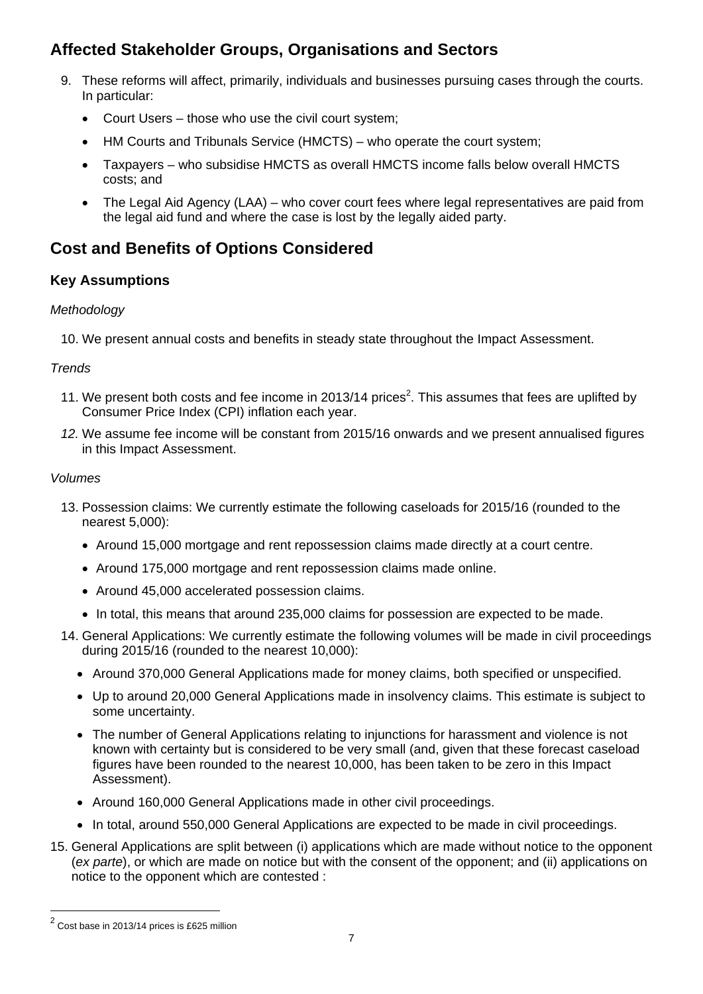# **Affected Stakeholder Groups, Organisations and Sectors**

- 9. These reforms will affect, primarily, individuals and businesses pursuing cases through the courts. In particular:
	- Court Users those who use the civil court system;
	- HM Courts and Tribunals Service (HMCTS) who operate the court system;
	- Taxpayers who subsidise HMCTS as overall HMCTS income falls below overall HMCTS costs; and
	- The Legal Aid Agency (LAA) who cover court fees where legal representatives are paid from the legal aid fund and where the case is lost by the legally aided party.

# **Cost and Benefits of Options Considered**

# **Key Assumptions**

### *Methodology*

10. We present annual costs and benefits in steady state throughout the Impact Assessment.

#### *Trends*

- 11. We present both costs and fee income in 2013/14 prices<sup>2</sup>. This assumes that fees are uplifted by Consumer Price Index (CPI) inflation each year.
- *12.* We assume fee income will be constant from 2015/16 onwards and we present annualised figures in this Impact Assessment.

#### *Volumes*

- 13. Possession claims: We currently estimate the following caseloads for 2015/16 (rounded to the nearest 5,000):
	- Around 15,000 mortgage and rent repossession claims made directly at a court centre.
	- Around 175,000 mortgage and rent repossession claims made online.
	- Around 45,000 accelerated possession claims.
	- In total, this means that around 235,000 claims for possession are expected to be made.
- 14. General Applications: We currently estimate the following volumes will be made in civil proceedings during 2015/16 (rounded to the nearest 10,000):
	- Around 370,000 General Applications made for money claims, both specified or unspecified.
	- Up to around 20,000 General Applications made in insolvency claims. This estimate is subject to some uncertainty.
	- The number of General Applications relating to injunctions for harassment and violence is not known with certainty but is considered to be very small (and, given that these forecast caseload figures have been rounded to the nearest 10,000, has been taken to be zero in this Impact Assessment).
	- Around 160,000 General Applications made in other civil proceedings.
	- In total, around 550,000 General Applications are expected to be made in civil proceedings.
- 15. General Applications are split between (i) applications which are made without notice to the opponent (*ex parte*), or which are made on notice but with the consent of the opponent; and (ii) applications on notice to the opponent which are contested :

l

 $2$  Cost base in 2013/14 prices is £625 million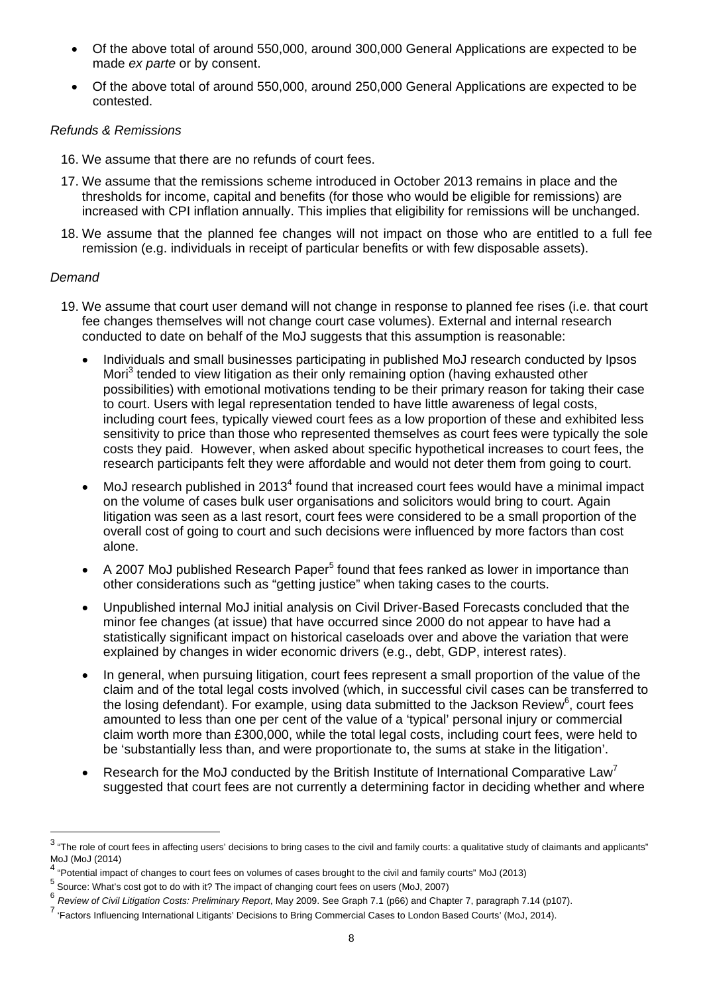- Of the above total of around 550,000, around 300,000 General Applications are expected to be made *ex parte* or by consent.
- Of the above total of around 550,000, around 250,000 General Applications are expected to be contested.

#### *Refunds & Remissions*

- 16. We assume that there are no refunds of court fees.
- 17. We assume that the remissions scheme introduced in October 2013 remains in place and the thresholds for income, capital and benefits (for those who would be eligible for remissions) are increased with CPI inflation annually. This implies that eligibility for remissions will be unchanged.
- 18. We assume that the planned fee changes will not impact on those who are entitled to a full fee remission (e.g. individuals in receipt of particular benefits or with few disposable assets).

#### *Demand*

l

- 19. We assume that court user demand will not change in response to planned fee rises (i.e. that court fee changes themselves will not change court case volumes). External and internal research conducted to date on behalf of the MoJ suggests that this assumption is reasonable:
	- Individuals and small businesses participating in published MoJ research conducted by Ipsos Mori<sup>3</sup> tended to view litigation as their only remaining option (having exhausted other possibilities) with emotional motivations tending to be their primary reason for taking their case to court. Users with legal representation tended to have little awareness of legal costs, including court fees, typically viewed court fees as a low proportion of these and exhibited less sensitivity to price than those who represented themselves as court fees were typically the sole costs they paid. However, when asked about specific hypothetical increases to court fees, the research participants felt they were affordable and would not deter them from going to court.
	- $\bullet$  MoJ research published in 2013<sup>4</sup> found that increased court fees would have a minimal impact on the volume of cases bulk user organisations and solicitors would bring to court. Again litigation was seen as a last resort, court fees were considered to be a small proportion of the overall cost of going to court and such decisions were influenced by more factors than cost alone.
	- $\bullet$  A 2007 MoJ published Research Paper<sup>5</sup> found that fees ranked as lower in importance than other considerations such as "getting justice" when taking cases to the courts.
	- Unpublished internal MoJ initial analysis on Civil Driver-Based Forecasts concluded that the minor fee changes (at issue) that have occurred since 2000 do not appear to have had a statistically significant impact on historical caseloads over and above the variation that were explained by changes in wider economic drivers (e.g., debt, GDP, interest rates).
	- In general, when pursuing litigation, court fees represent a small proportion of the value of the claim and of the total legal costs involved (which, in successful civil cases can be transferred to the losing defendant). For example, using data submitted to the Jackson Review<sup>6</sup>, court fees amounted to less than one per cent of the value of a 'typical' personal injury or commercial claim worth more than £300,000, while the total legal costs, including court fees, were held to be 'substantially less than, and were proportionate to, the sums at stake in the litigation'.
	- Research for the MoJ conducted by the British Institute of International Comparative Law<sup>7</sup> suggested that court fees are not currently a determining factor in deciding whether and where

 $^3$  "The role of court fees in affecting users' decisions to bring cases to the civil and family courts: a qualitative study of claimants and applicants" MoJ (MoJ (2014)

<sup>&</sup>lt;sup>4</sup> "Potential impact of changes to court fees on volumes of cases brought to the civil and family courts" MoJ (2013)

<sup>&</sup>lt;sup>5</sup> Source: What's cost got to do with it? The impact of changing court fees on users (MoJ, 2007)

<sup>6</sup> *Review of Civil Litigation Costs: Preliminary Report*, May 2009. See Graph 7.1 (p66) and Chapter 7, paragraph 7.14 (p107).

<sup>&</sup>lt;sup>7</sup> 'Factors Influencing International Litigants' Decisions to Bring Commercial Cases to London Based Courts' (MoJ, 2014).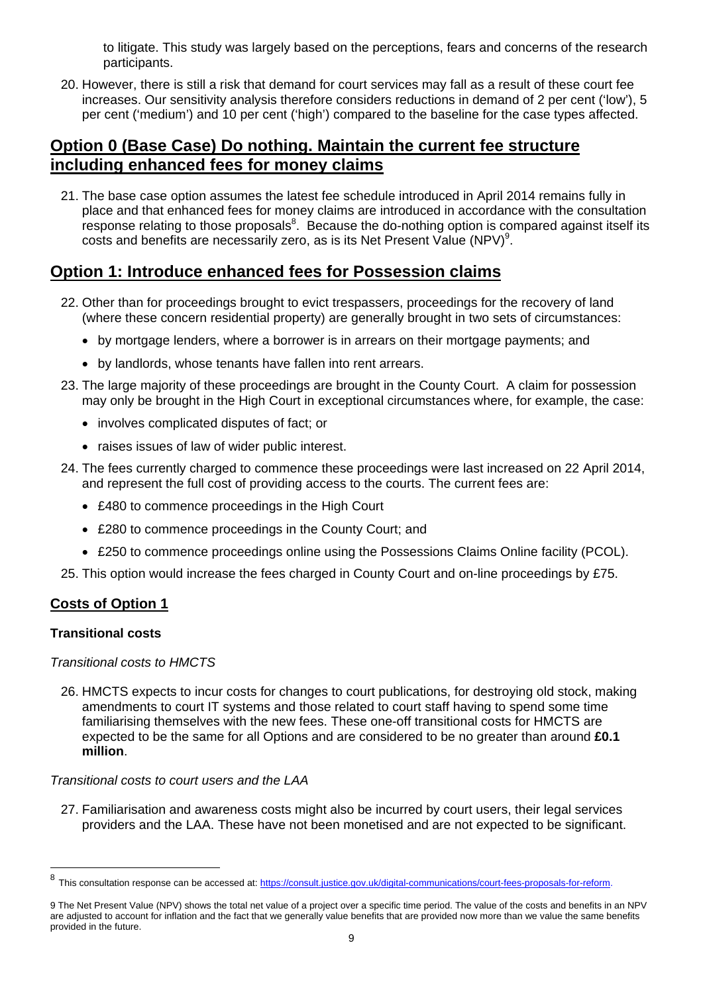to litigate. This study was largely based on the perceptions, fears and concerns of the research participants.

20. However, there is still a risk that demand for court services may fall as a result of these court fee increases. Our sensitivity analysis therefore considers reductions in demand of 2 per cent ('low'), 5 per cent ('medium') and 10 per cent ('high') compared to the baseline for the case types affected.

# **Option 0 (Base Case) Do nothing. Maintain the current fee structure including enhanced fees for money claims**

21. The base case option assumes the latest fee schedule introduced in April 2014 remains fully in place and that enhanced fees for money claims are introduced in accordance with the consultation response relating to those proposals<sup>8</sup>. Because the do-nothing option is compared against itself its costs and benefits are necessarily zero, as is its Net Present Value (NPV) $^9$ .

# **Option 1: Introduce enhanced fees for Possession claims**

- 22. Other than for proceedings brought to evict trespassers, proceedings for the recovery of land (where these concern residential property) are generally brought in two sets of circumstances:
	- by mortgage lenders, where a borrower is in arrears on their mortgage payments; and
	- by landlords, whose tenants have fallen into rent arrears.
- 23. The large majority of these proceedings are brought in the County Court. A claim for possession may only be brought in the High Court in exceptional circumstances where, for example, the case:
	- involves complicated disputes of fact; or
	- raises issues of law of wider public interest.
- 24. The fees currently charged to commence these proceedings were last increased on 22 April 2014, and represent the full cost of providing access to the courts. The current fees are:
	- £480 to commence proceedings in the High Court
	- £280 to commence proceedings in the County Court; and
	- £250 to commence proceedings online using the Possessions Claims Online facility (PCOL).
- 25. This option would increase the fees charged in County Court and on-line proceedings by £75.

### **Costs of Option 1**

#### **Transitional costs**

l

#### *Transitional costs to HMCTS*

26. HMCTS expects to incur costs for changes to court publications, for destroying old stock, making amendments to court IT systems and those related to court staff having to spend some time familiarising themselves with the new fees. These one-off transitional costs for HMCTS are expected to be the same for all Options and are considered to be no greater than around **£0.1 million**.

#### *Transitional costs to court users and the LAA*

27. Familiarisation and awareness costs might also be incurred by court users, their legal services providers and the LAA. These have not been monetised and are not expected to be significant.

<sup>8</sup> This consultation response can be accessed at: https://consult.justice.gov.uk/digital-communications/court-fees-proposals-for-reform.

<sup>9</sup> The Net Present Value (NPV) shows the total net value of a project over a specific time period. The value of the costs and benefits in an NPV are adjusted to account for inflation and the fact that we generally value benefits that are provided now more than we value the same benefits provided in the future.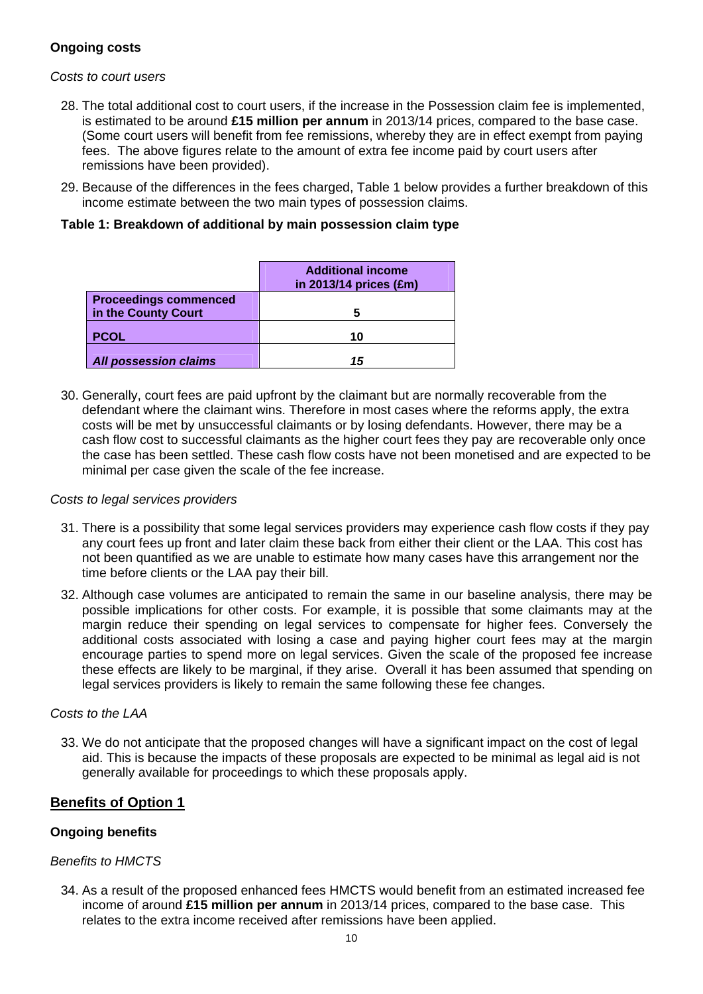#### **Ongoing costs**

#### *Costs to court users*

- 28. The total additional cost to court users, if the increase in the Possession claim fee is implemented, is estimated to be around **£15 million per annum** in 2013/14 prices, compared to the base case. (Some court users will benefit from fee remissions, whereby they are in effect exempt from paying fees. The above figures relate to the amount of extra fee income paid by court users after remissions have been provided).
- 29. Because of the differences in the fees charged, Table 1 below provides a further breakdown of this income estimate between the two main types of possession claims.

| Table 1: Breakdown of additional by main possession claim type |  |  |  |
|----------------------------------------------------------------|--|--|--|
|----------------------------------------------------------------|--|--|--|

|                                                     | <b>Additional income</b><br>in 2013/14 prices (£m) |
|-----------------------------------------------------|----------------------------------------------------|
| <b>Proceedings commenced</b><br>in the County Court |                                                    |
| <b>PCOL</b>                                         | 10                                                 |
| <b>All possession claims</b>                        | 15                                                 |

30. Generally, court fees are paid upfront by the claimant but are normally recoverable from the defendant where the claimant wins. Therefore in most cases where the reforms apply, the extra costs will be met by unsuccessful claimants or by losing defendants. However, there may be a cash flow cost to successful claimants as the higher court fees they pay are recoverable only once the case has been settled. These cash flow costs have not been monetised and are expected to be minimal per case given the scale of the fee increase.

#### *Costs to legal services providers*

- 31. There is a possibility that some legal services providers may experience cash flow costs if they pay any court fees up front and later claim these back from either their client or the LAA. This cost has not been quantified as we are unable to estimate how many cases have this arrangement nor the time before clients or the LAA pay their bill.
- 32. Although case volumes are anticipated to remain the same in our baseline analysis, there may be possible implications for other costs. For example, it is possible that some claimants may at the margin reduce their spending on legal services to compensate for higher fees. Conversely the additional costs associated with losing a case and paying higher court fees may at the margin encourage parties to spend more on legal services. Given the scale of the proposed fee increase these effects are likely to be marginal, if they arise. Overall it has been assumed that spending on legal services providers is likely to remain the same following these fee changes.

#### *Costs to the LAA*

33. We do not anticipate that the proposed changes will have a significant impact on the cost of legal aid. This is because the impacts of these proposals are expected to be minimal as legal aid is not generally available for proceedings to which these proposals apply.

#### **Benefits of Option 1**

#### **Ongoing benefits**

#### *Benefits to HMCTS*

34. As a result of the proposed enhanced fees HMCTS would benefit from an estimated increased fee income of around **£15 million per annum** in 2013/14 prices, compared to the base case. This relates to the extra income received after remissions have been applied.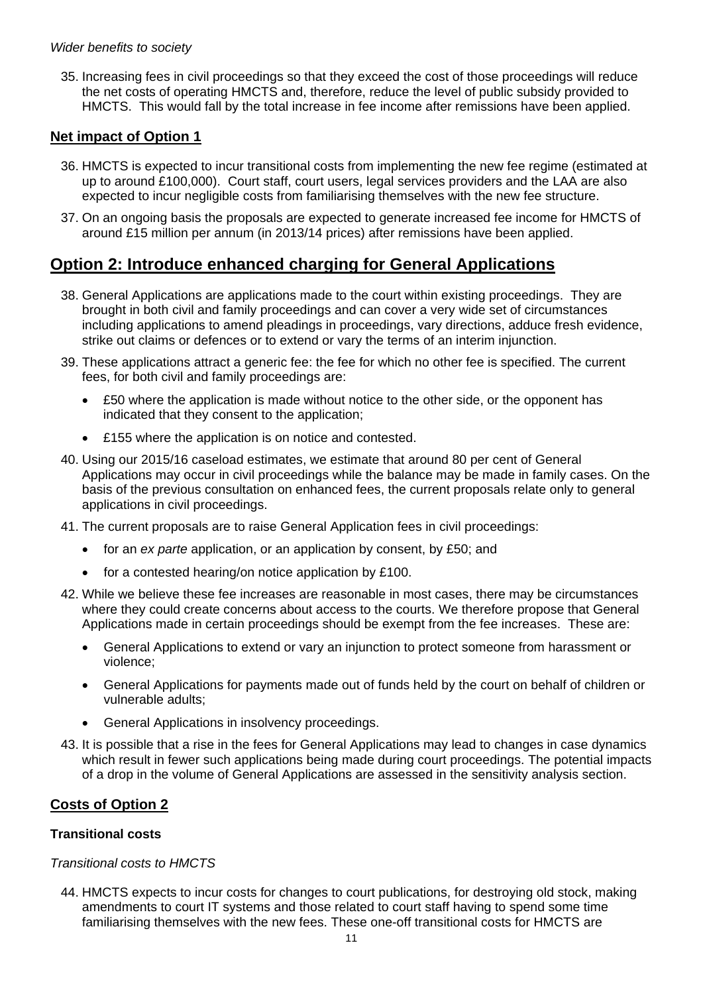#### *Wider benefits to society*

35. Increasing fees in civil proceedings so that they exceed the cost of those proceedings will reduce the net costs of operating HMCTS and, therefore, reduce the level of public subsidy provided to HMCTS. This would fall by the total increase in fee income after remissions have been applied.

#### **Net impact of Option 1**

- 36. HMCTS is expected to incur transitional costs from implementing the new fee regime (estimated at up to around £100,000). Court staff, court users, legal services providers and the LAA are also expected to incur negligible costs from familiarising themselves with the new fee structure.
- 37. On an ongoing basis the proposals are expected to generate increased fee income for HMCTS of around £15 million per annum (in 2013/14 prices) after remissions have been applied.

# **Option 2: Introduce enhanced charging for General Applications**

- 38. General Applications are applications made to the court within existing proceedings. They are brought in both civil and family proceedings and can cover a very wide set of circumstances including applications to amend pleadings in proceedings, vary directions, adduce fresh evidence, strike out claims or defences or to extend or vary the terms of an interim injunction.
- 39. These applications attract a generic fee: the fee for which no other fee is specified. The current fees, for both civil and family proceedings are:
	- £50 where the application is made without notice to the other side, or the opponent has indicated that they consent to the application;
	- £155 where the application is on notice and contested.
- 40. Using our 2015/16 caseload estimates, we estimate that around 80 per cent of General Applications may occur in civil proceedings while the balance may be made in family cases. On the basis of the previous consultation on enhanced fees, the current proposals relate only to general applications in civil proceedings.
- 41. The current proposals are to raise General Application fees in civil proceedings:
	- for an *ex parte* application, or an application by consent, by £50; and
	- for a contested hearing/on notice application by £100.
- 42. While we believe these fee increases are reasonable in most cases, there may be circumstances where they could create concerns about access to the courts. We therefore propose that General Applications made in certain proceedings should be exempt from the fee increases. These are:
	- General Applications to extend or vary an injunction to protect someone from harassment or violence;
	- General Applications for payments made out of funds held by the court on behalf of children or vulnerable adults;
	- General Applications in insolvency proceedings.
- 43. It is possible that a rise in the fees for General Applications may lead to changes in case dynamics which result in fewer such applications being made during court proceedings. The potential impacts of a drop in the volume of General Applications are assessed in the sensitivity analysis section.

#### **Costs of Option 2**

#### **Transitional costs**

#### *Transitional costs to HMCTS*

44. HMCTS expects to incur costs for changes to court publications, for destroying old stock, making amendments to court IT systems and those related to court staff having to spend some time familiarising themselves with the new fees. These one-off transitional costs for HMCTS are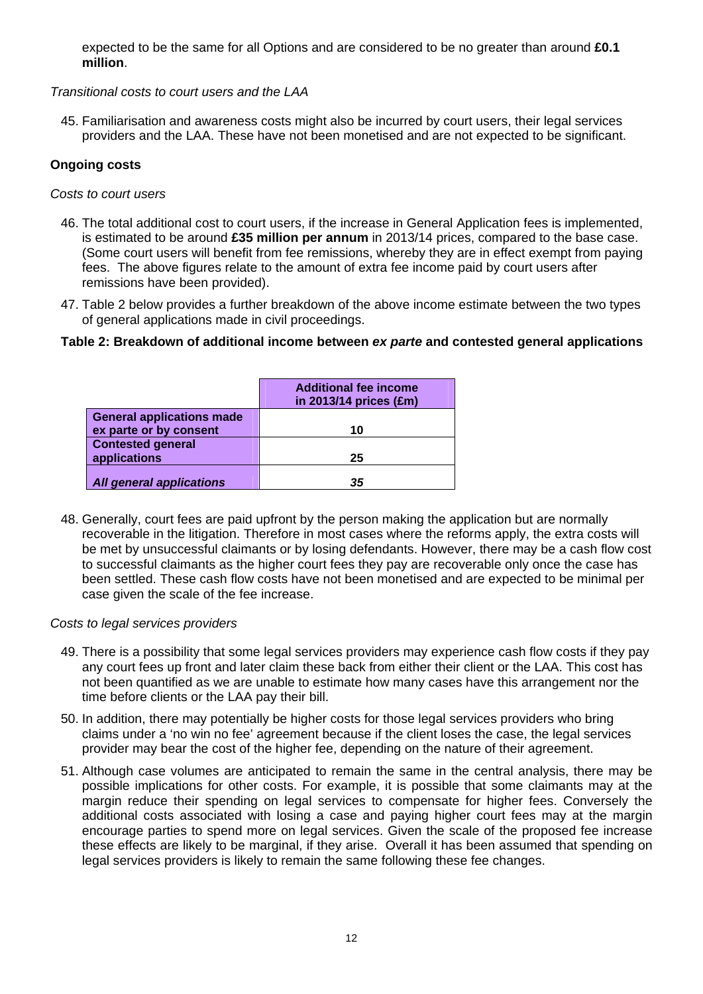expected to be the same for all Options and are considered to be no greater than around **£0.1 million**.

#### *Transitional costs to court users and the LAA*

45. Familiarisation and awareness costs might also be incurred by court users, their legal services providers and the LAA. These have not been monetised and are not expected to be significant.

#### **Ongoing costs**

#### *Costs to court users*

- 46. The total additional cost to court users, if the increase in General Application fees is implemented, is estimated to be around **£35 million per annum** in 2013/14 prices, compared to the base case. (Some court users will benefit from fee remissions, whereby they are in effect exempt from paying fees. The above figures relate to the amount of extra fee income paid by court users after remissions have been provided).
- 47. Table 2 below provides a further breakdown of the above income estimate between the two types of general applications made in civil proceedings.

#### **Table 2: Breakdown of additional income between** *ex parte* **and contested general applications**

|                                                            | <b>Additional fee income</b><br>in 2013/14 prices (£m) |
|------------------------------------------------------------|--------------------------------------------------------|
| <b>General applications made</b><br>ex parte or by consent | 10                                                     |
| <b>Contested general</b><br>applications                   | 25                                                     |
| <b>All general applications</b>                            | 35                                                     |

48. Generally, court fees are paid upfront by the person making the application but are normally recoverable in the litigation. Therefore in most cases where the reforms apply, the extra costs will be met by unsuccessful claimants or by losing defendants. However, there may be a cash flow cost to successful claimants as the higher court fees they pay are recoverable only once the case has been settled. These cash flow costs have not been monetised and are expected to be minimal per case given the scale of the fee increase.

#### *Costs to legal services providers*

- 49. There is a possibility that some legal services providers may experience cash flow costs if they pay any court fees up front and later claim these back from either their client or the LAA. This cost has not been quantified as we are unable to estimate how many cases have this arrangement nor the time before clients or the LAA pay their bill.
- 50. In addition, there may potentially be higher costs for those legal services providers who bring claims under a 'no win no fee' agreement because if the client loses the case, the legal services provider may bear the cost of the higher fee, depending on the nature of their agreement.
- 51. Although case volumes are anticipated to remain the same in the central analysis, there may be possible implications for other costs. For example, it is possible that some claimants may at the margin reduce their spending on legal services to compensate for higher fees. Conversely the additional costs associated with losing a case and paying higher court fees may at the margin encourage parties to spend more on legal services. Given the scale of the proposed fee increase these effects are likely to be marginal, if they arise. Overall it has been assumed that spending on legal services providers is likely to remain the same following these fee changes.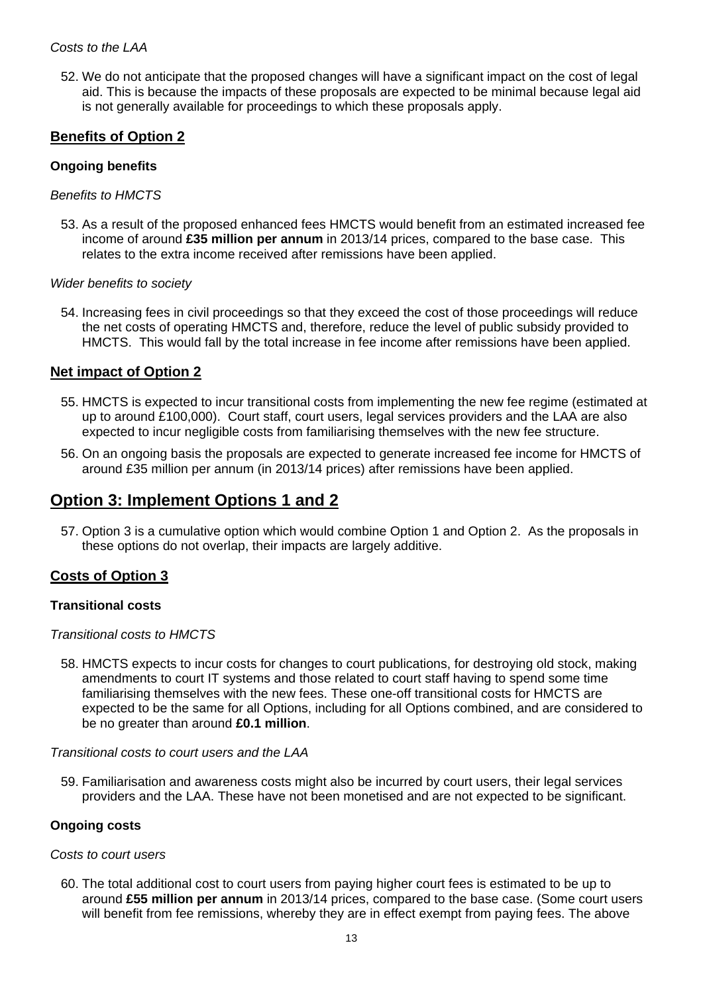52. We do not anticipate that the proposed changes will have a significant impact on the cost of legal aid. This is because the impacts of these proposals are expected to be minimal because legal aid is not generally available for proceedings to which these proposals apply.

#### **Benefits of Option 2**

#### **Ongoing benefits**

#### *Benefits to HMCTS*

53. As a result of the proposed enhanced fees HMCTS would benefit from an estimated increased fee income of around **£35 million per annum** in 2013/14 prices, compared to the base case. This relates to the extra income received after remissions have been applied.

#### *Wider benefits to society*

54. Increasing fees in civil proceedings so that they exceed the cost of those proceedings will reduce the net costs of operating HMCTS and, therefore, reduce the level of public subsidy provided to HMCTS. This would fall by the total increase in fee income after remissions have been applied.

#### **Net impact of Option 2**

- 55. HMCTS is expected to incur transitional costs from implementing the new fee regime (estimated at up to around £100,000). Court staff, court users, legal services providers and the LAA are also expected to incur negligible costs from familiarising themselves with the new fee structure.
- 56. On an ongoing basis the proposals are expected to generate increased fee income for HMCTS of around £35 million per annum (in 2013/14 prices) after remissions have been applied.

# **Option 3: Implement Options 1 and 2**

57. Option 3 is a cumulative option which would combine Option 1 and Option 2. As the proposals in these options do not overlap, their impacts are largely additive.

### **Costs of Option 3**

#### **Transitional costs**

#### *Transitional costs to HMCTS*

58. HMCTS expects to incur costs for changes to court publications, for destroying old stock, making amendments to court IT systems and those related to court staff having to spend some time familiarising themselves with the new fees. These one-off transitional costs for HMCTS are expected to be the same for all Options, including for all Options combined, and are considered to be no greater than around **£0.1 million**.

#### *Transitional costs to court users and the LAA*

59. Familiarisation and awareness costs might also be incurred by court users, their legal services providers and the LAA. These have not been monetised and are not expected to be significant.

#### **Ongoing costs**

#### *Costs to court users*

60. The total additional cost to court users from paying higher court fees is estimated to be up to around **£55 million per annum** in 2013/14 prices, compared to the base case. (Some court users will benefit from fee remissions, whereby they are in effect exempt from paying fees. The above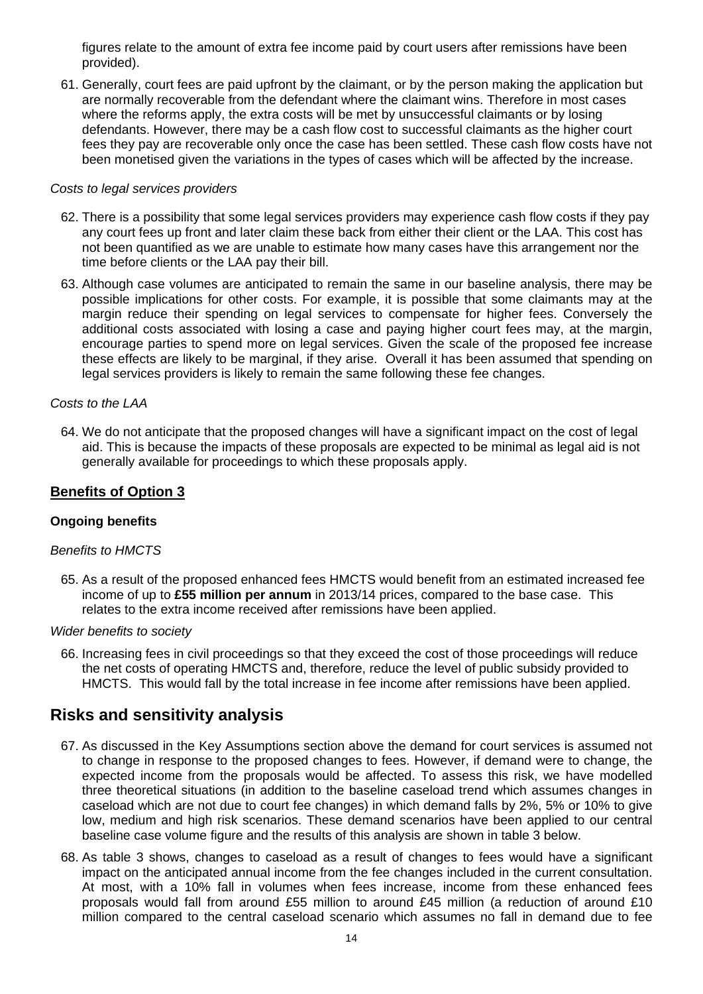figures relate to the amount of extra fee income paid by court users after remissions have been provided).

61. Generally, court fees are paid upfront by the claimant, or by the person making the application but are normally recoverable from the defendant where the claimant wins. Therefore in most cases where the reforms apply, the extra costs will be met by unsuccessful claimants or by losing defendants. However, there may be a cash flow cost to successful claimants as the higher court fees they pay are recoverable only once the case has been settled. These cash flow costs have not been monetised given the variations in the types of cases which will be affected by the increase.

#### *Costs to legal services providers*

- 62. There is a possibility that some legal services providers may experience cash flow costs if they pay any court fees up front and later claim these back from either their client or the LAA. This cost has not been quantified as we are unable to estimate how many cases have this arrangement nor the time before clients or the LAA pay their bill.
- 63. Although case volumes are anticipated to remain the same in our baseline analysis, there may be possible implications for other costs. For example, it is possible that some claimants may at the margin reduce their spending on legal services to compensate for higher fees. Conversely the additional costs associated with losing a case and paying higher court fees may, at the margin, encourage parties to spend more on legal services. Given the scale of the proposed fee increase these effects are likely to be marginal, if they arise. Overall it has been assumed that spending on legal services providers is likely to remain the same following these fee changes.

#### *Costs to the LAA*

64. We do not anticipate that the proposed changes will have a significant impact on the cost of legal aid. This is because the impacts of these proposals are expected to be minimal as legal aid is not generally available for proceedings to which these proposals apply.

#### **Benefits of Option 3**

#### **Ongoing benefits**

#### *Benefits to HMCTS*

65. As a result of the proposed enhanced fees HMCTS would benefit from an estimated increased fee income of up to **£55 million per annum** in 2013/14 prices, compared to the base case. This relates to the extra income received after remissions have been applied.

#### *Wider benefits to society*

66. Increasing fees in civil proceedings so that they exceed the cost of those proceedings will reduce the net costs of operating HMCTS and, therefore, reduce the level of public subsidy provided to HMCTS. This would fall by the total increase in fee income after remissions have been applied.

# **Risks and sensitivity analysis**

- 67. As discussed in the Key Assumptions section above the demand for court services is assumed not to change in response to the proposed changes to fees. However, if demand were to change, the expected income from the proposals would be affected. To assess this risk, we have modelled three theoretical situations (in addition to the baseline caseload trend which assumes changes in caseload which are not due to court fee changes) in which demand falls by 2%, 5% or 10% to give low, medium and high risk scenarios. These demand scenarios have been applied to our central baseline case volume figure and the results of this analysis are shown in table 3 below.
- 68. As table 3 shows, changes to caseload as a result of changes to fees would have a significant impact on the anticipated annual income from the fee changes included in the current consultation. At most, with a 10% fall in volumes when fees increase, income from these enhanced fees proposals would fall from around £55 million to around £45 million (a reduction of around £10 million compared to the central caseload scenario which assumes no fall in demand due to fee